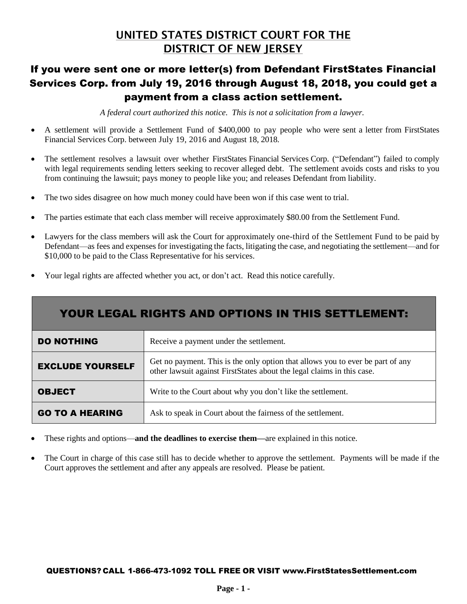# UNITED STATES DISTRICT COURT FOR THE DISTRICT OF NEW JERSEY

# If you were sent one or more letter(s) from Defendant FirstStates Financial Services Corp. from July 19, 2016 through August 18, 2018, you could get a payment from a class action settlement.

*A federal court authorized this notice. This is not a solicitation from a lawyer.*

- A settlement will provide a Settlement Fund of \$400,000 to pay people who were sent a letter from FirstStates Financial Services Corp. between July 19, 2016 and August 18, 2018.
- The settlement resolves a lawsuit over whether FirstStates Financial Services Corp. ("Defendant") failed to comply with legal requirements sending letters seeking to recover alleged debt. The settlement avoids costs and risks to you from continuing the lawsuit; pays money to people like you; and releases Defendant from liability.
- The two sides disagree on how much money could have been won if this case went to trial.
- The parties estimate that each class member will receive approximately \$80.00 from the Settlement Fund.
- Lawyers for the class members will ask the Court for approximately one-third of the Settlement Fund to be paid by Defendant—as fees and expenses for investigating the facts, litigating the case, and negotiating the settlement—and for \$10,000 to be paid to the Class Representative for his services.
- Your legal rights are affected whether you act, or don't act. Read this notice carefully.

| YOUR LEGAL RIGHTS AND OPTIONS IN THIS SETTLEMENT: |                                                                                                                                                          |  |
|---------------------------------------------------|----------------------------------------------------------------------------------------------------------------------------------------------------------|--|
| <b>DO NOTHING</b>                                 | Receive a payment under the settlement.                                                                                                                  |  |
| <b>EXCLUDE YOURSELF</b>                           | Get no payment. This is the only option that allows you to ever be part of any<br>other lawsuit against FirstStates about the legal claims in this case. |  |
| <b>OBJECT</b>                                     | Write to the Court about why you don't like the settlement.                                                                                              |  |
| <b>GO TO A HEARING</b>                            | Ask to speak in Court about the fairness of the settlement.                                                                                              |  |

- These rights and options—**and the deadlines to exercise them—**are explained in this notice.
- The Court in charge of this case still has to decide whether to approve the settlement. Payments will be made if the Court approves the settlement and after any appeals are resolved. Please be patient.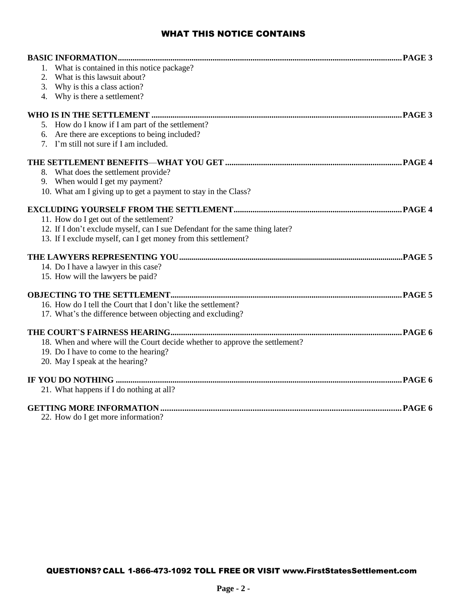# WHAT THIS NOTICE CONTAINS

| 1. What is contained in this notice package?                                 |  |
|------------------------------------------------------------------------------|--|
| What is this lawsuit about?<br>2.                                            |  |
| 3. Why is this a class action?                                               |  |
| 4. Why is there a settlement?                                                |  |
|                                                                              |  |
| 5. How do I know if I am part of the settlement?                             |  |
| Are there are exceptions to being included?                                  |  |
| 7. I'm still not sure if I am included.                                      |  |
|                                                                              |  |
| 8. What does the settlement provide?                                         |  |
| 9. When would I get my payment?                                              |  |
| 10. What am I giving up to get a payment to stay in the Class?               |  |
|                                                                              |  |
| 11. How do I get out of the settlement?                                      |  |
| 12. If I don't exclude myself, can I sue Defendant for the same thing later? |  |
| 13. If I exclude myself, can I get money from this settlement?               |  |
|                                                                              |  |
| 14. Do I have a lawyer in this case?                                         |  |
| 15. How will the lawyers be paid?                                            |  |
|                                                                              |  |
| 16. How do I tell the Court that I don't like the settlement?                |  |
| 17. What's the difference between objecting and excluding?                   |  |
|                                                                              |  |
| 18. When and where will the Court decide whether to approve the settlement?  |  |
| 19. Do I have to come to the hearing?                                        |  |
| 20. May I speak at the hearing?                                              |  |
|                                                                              |  |
| 21. What happens if I do nothing at all?                                     |  |
|                                                                              |  |
| 22. How do I get more information?                                           |  |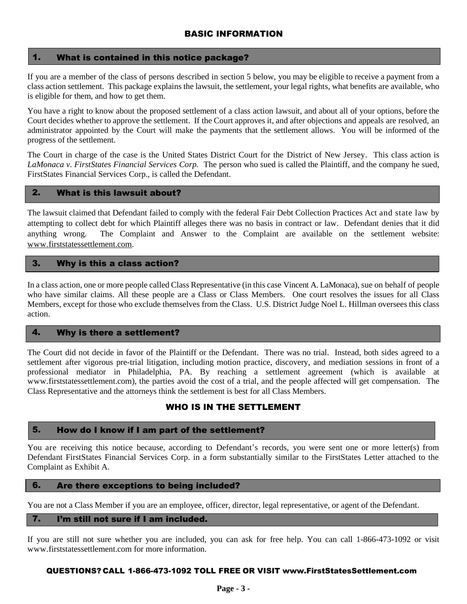### 1. What is contained in this notice package?

If you are a member of the class of persons described in section 5 below, you may be eligible to receive a payment from a class action settlement. This package explains the lawsuit, the settlement, your legal rights, what benefits are available, who is eligible for them, and how to get them.

You have a right to know about the proposed settlement of a class action lawsuit, and about all of your options, before the Court decides whether to approve the settlement. If the Court approves it, and after objections and appeals are resolved, an administrator appointed by the Court will make the payments that the settlement allows. You will be informed of the progress of the settlement.

The Court in charge of the case is the United States District Court for the District of New Jersey. This class action is *LaMonaca v. FirstStates Financial Services Corp.* The person who sued is called the Plaintiff, and the company he sued, FirstStates Financial Services Corp., is called the Defendant.

## 2. What is this lawsuit about?

The lawsuit claimed that Defendant failed to comply with the federal Fair Debt Collection Practices Act and state law by attempting to collect debt for which Plaintiff alleges there was no basis in contract or law. Defendant denies that it did anything wrong. The Complaint and Answer to the Complaint are available on the settlement website: www.firststatessettlement.com.

# 3. Why is this a class action?

In a class action, one or more people called Class Representative (in this case Vincent A. LaMonaca), sue on behalf of people who have similar claims. All these people are a Class or Class Members. One court resolves the issues for all Class Members, except for those who exclude themselves from the Class. U.S. District Judge Noel L. Hillman oversees this class action.

# 4. Why is there a settlement?

The Court did not decide in favor of the Plaintiff or the Defendant. There was no trial. Instead, both sides agreed to a settlement after vigorous pre-trial litigation, including motion practice, discovery, and mediation sessions in front of a professional mediator in Philadelphia, PA. By reaching a settlement agreement (which is available at www.firststatessettlement.com), the parties avoid the cost of a trial, and the people affected will get compensation. The Class Representative and the attorneys think the settlement is best for all Class Members.

# WHO IS IN THE SETTLEMENT

# 5. How do I know if I am part of the settlement?

You are receiving this notice because, according to Defendant's records, you were sent one or more letter(s) from Defendant FirstStates Financial Services Corp. in a form substantially similar to the FirstStates Letter attached to the Complaint as Exhibit A.

#### 6. Are there exceptions to being included?

You are not a Class Member if you are an employee, officer, director, legal representative, or agent of the Defendant.

## 7. I'm still not sure if I am included.

If you are still not sure whether you are included, you can ask for free help. You can call 1-866-473-1092 or visit www.firststatessettlement.com for more information.

#### QUESTIONS? CALL 1-866-473-1092 TOLL FREE OR VISIT www.FirstStatesSettlement.com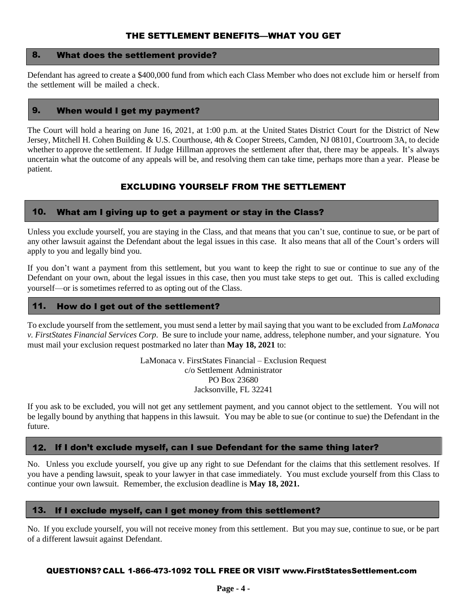# THE SETTLEMENT BENEFITS—WHAT YOU GET

## 8. What does the settlement provide?

Defendant has agreed to create a \$400,000 fund from which each Class Member who does not exclude him or herself from the settlement will be mailed a check.

# 9. When would I get my payment?

The Court will hold a hearing on June 16, 2021, at 1:00 p.m. at the United States District Court for the District of New Jersey, Mitchell H. Cohen Building & U.S. Courthouse, 4th & Cooper Streets, Camden, NJ 08101, Courtroom 3A, to decide whether to approve the settlement. If Judge Hillman approves the settlement after that, there may be appeals. It's always uncertain what the outcome of any appeals will be, and resolving them can take time, perhaps more than a year. Please be patient.

# EXCLUDING YOURSELF FROM THE SETTLEMENT

### 10. What am I giving up to get a payment or stay in the Class?

Unless you exclude yourself, you are staying in the Class, and that means that you can't sue, continue to sue, or be part of any other lawsuit against the Defendant about the legal issues in this case. It also means that all of the Court's orders will apply to you and legally bind you.

If you don't want a payment from this settlement, but you want to keep the right to sue or continue to sue any of the Defendant on your own, about the legal issues in this case, then you must take steps to get out. This is called excluding yourself—or is sometimes referred to as opting out of the Class.

#### 11. How do I get out of the settlement?

To exclude yourself from the settlement, you must send a letter by mail saying that you want to be excluded from *LaMonaca v. FirstStates Financial Services Corp*. Be sure to include your name, address, telephone number, and your signature. You must mail your exclusion request postmarked no later than **May 18, 2021** to:

> LaMonaca v. FirstStates Financial – Exclusion Request c/o Settlement Administrator PO Box 23680 Jacksonville, FL 32241

If you ask to be excluded, you will not get any settlement payment, and you cannot object to the settlement. You will not be legally bound by anything that happens in this lawsuit. You may be able to sue (or continue to sue) the Defendant in the future.

# 12. If I don't exclude myself, can I sue Defendant for the same thing later?

No. Unless you exclude yourself, you give up any right to sue Defendant for the claims that this settlement resolves. If you have a pending lawsuit, speak to your lawyer in that case immediately. You must exclude yourself from this Class to continue your own lawsuit. Remember, the exclusion deadline is **May 18, 2021.**

#### 13. If I exclude myself, can I get money from this settlement?

No. If you exclude yourself, you will not receive money from this settlement. But you may sue, continue to sue, or be part of a different lawsuit against Defendant.

#### QUESTIONS? CALL 1-866-473-1092 TOLL FREE OR VISIT www.FirstStatesSettlement.com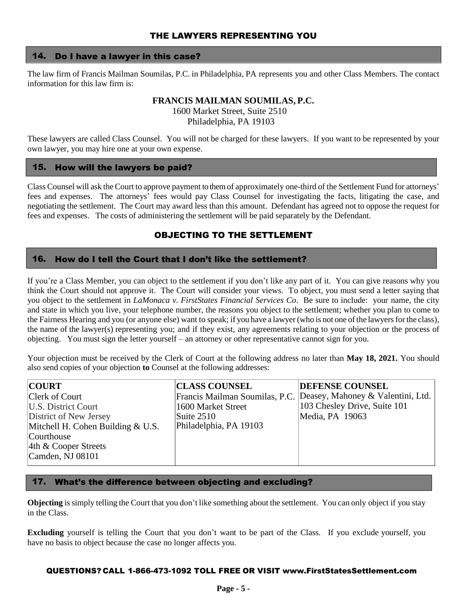# THE LAWYERS REPRESENTING YOU

#### 14. Do I have a lawyer in this case?

The law firm of Francis Mailman Soumilas, P.C. in Philadelphia, PA represents you and other Class Members. The contact information for this law firm is:

# **FRANCIS MAILMAN SOUMILAS, P.C.**

1600 Market Street, Suite 2510 Philadelphia, PA 19103

These lawyers are called Class Counsel. You will not be charged for these lawyers. If you want to be represented by your own lawyer, you may hire one at your own expense.

#### 15. How will the lawyers be paid?

Class Counsel will ask the Court to approve payment to them of approximately one-third of the Settlement Fund for attorneys' fees and expenses. The attorneys' fees would pay Class Counsel for investigating the facts, litigating the case, and negotiating the settlement. The Court may award less than this amount. Defendant has agreed not to oppose the request for fees and expenses. The costs of administering the settlement will be paid separately by the Defendant.

# OBJECTING TO THE SETTLEMENT

#### 16. How do I tell the Court that I don't like the settlement?

If you're a Class Member, you can object to the settlement if you don't like any part of it. You can give reasons why you think the Court should not approve it. The Court will consider your views. To object, you must send a letter saying that you object to the settlement in *LaMonaca v. FirstStates Financial Services Co*. Be sure to include: your name, the city and state in which you live, your telephone number, the reasons you object to the settlement; whether you plan to come to the Fairness Hearing and you (or anyone else) want to speak; if you have a lawyer (who is not one ofthe lawyersforthe class), the name of the lawyer(s) representing you; and if they exist, any agreements relating to your objection or the process of objecting. You must sign the letter yourself – an attorney or other representative cannot sign for you.

Your objection must be received by the Clerk of Court at the following address no later than **May 18, 2021.** You should also send copies of your objection **to** Counsel at the following addresses:

| <b>COURT</b>                        | <b>CLASS COUNSEL</b>           | <b>DEFENSE COUNSEL</b>            |
|-------------------------------------|--------------------------------|-----------------------------------|
| Clerk of Court                      | Francis Mailman Soumilas, P.C. | Deasey, Mahoney & Valentini, Ltd. |
| U.S. District Court                 | 1600 Market Street             | 103 Chesley Drive, Suite 101      |
| District of New Jersey              | Suite $2510$                   | Media, PA 19063                   |
| Mitchell H. Cohen Building $& U.S.$ | Philadelphia, PA 19103         |                                   |
| Courthouse                          |                                |                                   |
| $ 4th \&$ Cooper Streets            |                                |                                   |
| Camden, NJ $08101$                  |                                |                                   |
|                                     |                                |                                   |

#### 17. What's the difference between objecting and excluding?

**Objecting** is simply telling the Court that you don't like something about the settlement. You can only object if you stay in the Class.

**Excluding** yourself is telling the Court that you don't want to be part of the Class. If you exclude yourself, you have no basis to object because the case no longer affects you.

#### QUESTIONS? CALL 1-866-473-1092 TOLL FREE OR VISIT www.FirstStatesSettlement.com